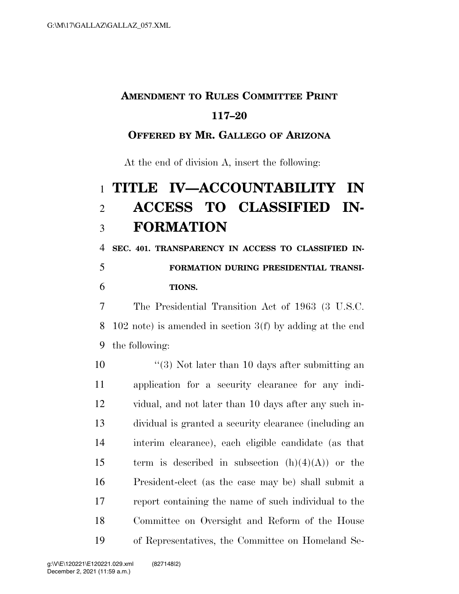## **AMENDMENT TO RULES COMMITTEE PRINT**

### **117–20**

#### **OFFERED BY MR. GALLEGO OF ARIZONA**

At the end of division A, insert the following:

# **TITLE IV—ACCOUNTABILITY IN ACCESS TO CLASSIFIED IN-FORMATION**

 **SEC. 401. TRANSPARENCY IN ACCESS TO CLASSIFIED IN-FORMATION DURING PRESIDENTIAL TRANSI-**

## **TIONS.**

 The Presidential Transition Act of 1963 (3 U.S.C. 102 note) is amended in section 3(f) by adding at the end the following:

10 ''(3) Not later than 10 days after submitting an application for a security clearance for any indi- vidual, and not later than 10 days after any such in- dividual is granted a security clearance (including an interim clearance), each eligible candidate (as that 15 term is described in subsection  $(h)(4)(A)$  or the President-elect (as the case may be) shall submit a report containing the name of such individual to the Committee on Oversight and Reform of the House of Representatives, the Committee on Homeland Se